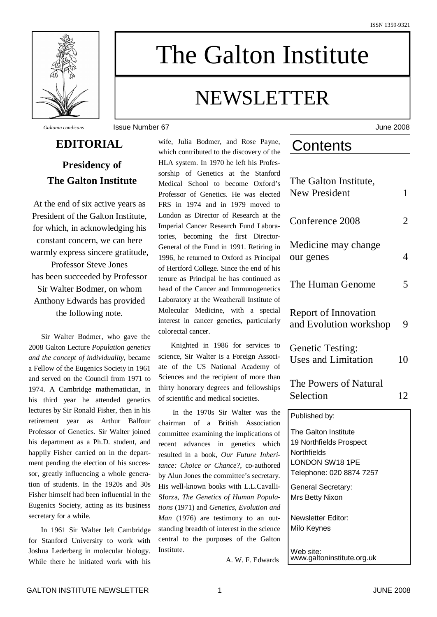

# The Galton Institute

## NEWSLETTER

*Galtonia candicans* Issue Number 67 June 2008

## **Presidency of The Galton Institute**

**EDITORIAL**

At the end of six active years as President of the Galton Institute, for which, in acknowledging his constant concern, we can here warmly express sincere gratitude, Professor Steve Jones

has been succeeded by Professor Sir Walter Bodmer, on whom Anthony Edwards has provided the following note.

Sir Walter Bodmer, who gave the 2008 Galton Lecture *Population genetics and the concept of individuality*, became a Fellow of the Eugenics Society in 1961 and served on the Council from 1971 to 1974. A Cambridge mathematician, in his third year he attended genetics lectures by Sir Ronald Fisher, then in his retirement year as Arthur Balfour Professor of Genetics. Sir Walter joined his department as a Ph.D. student, and happily Fisher carried on in the department pending the election of his successor, greatly influencing a whole generation of students. In the 1920s and 30s Fisher himself had been influential in the Eugenics Society, acting as its business secretary for a while.

In 1961 Sir Walter left Cambridge for Stanford University to work with Joshua Lederberg in molecular biology. While there he initiated work with his

wife, Julia Bodmer, and Rose Payne, which contributed to the discovery of the HLA system. In 1970 he left his Professorship of Genetics at the Stanford Medical School to become Oxford's Professor of Genetics. He was elected FRS in 1974 and in 1979 moved to London as Director of Research at the Imperial Cancer Research Fund Laboratories, becoming the first Director-General of the Fund in 1991. Retiring in 1996, he returned to Oxford as Principal of Hertford College. Since the end of his tenure as Principal he has continued as head of the Cancer and Immunogenetics Laboratory at the Weatherall Institute of Molecular Medicine, with a special interest in cancer genetics, particularly colorectal cancer.

Knighted in 1986 for services to science, Sir Walter is a Foreign Associate of the US National Academy of Sciences and the recipient of more than thirty honorary degrees and fellowships of scientific and medical societies.

In the 1970s Sir Walter was the chairman of a British Association committee examining the implications of recent advances in genetics which resulted in a book, *Our Future Inheritance: Choice or Chance?*, co-authored by Alun Jones the committee's secretary. His well-known books with L.L.Cavalli-Sforza, *The Genetics of Human Populations* (1971) and *Genetics, Evolution and Man* (1976) are testimony to an outstanding breadth of interest in the science central to the purposes of the Galton Institute.

A. W. F. Edwards

## **Contents**

| The Galton Institute,<br><b>New President</b>                                                                 | 1  |
|---------------------------------------------------------------------------------------------------------------|----|
| Conference 2008                                                                                               | 2  |
| Medicine may change<br>our genes                                                                              | 4  |
| The Human Genome                                                                                              | 5  |
| Report of Innovation<br>and Evolution workshop                                                                | 9  |
| <b>Genetic Testing:</b><br><b>Uses and Limitation</b>                                                         | 10 |
| The Powers of Natural                                                                                         |    |
| Selection                                                                                                     | 12 |
| Published by:                                                                                                 |    |
| The Galton Institute<br>19 Northfields Prospect<br>Northfields<br>LONDON SW18 1PE<br>Telephone: 020 8874 7257 |    |
| General Secretary:<br>Mrs Betty Nixon                                                                         |    |
| Newsletter Editor:<br>Milo Keynes                                                                             |    |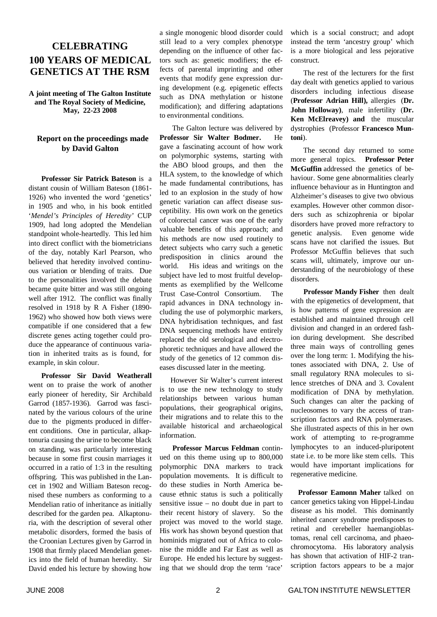## **CELEBRATING 100 YEARS OF MEDICAL GENETICS AT THE RSM**

**A joint meeting of The Galton Institute and The Royal Society of Medicine, May, 22-23 2008**

#### **Report on the proceedings made by David Galton**

**Professor Sir Patrick Bateson** is a distant cousin of William Bateson (1861- 1926) who invented the word 'genetics' in 1905 and who, in his book entitled '*Mendel's Principles of Heredity'* CUP 1909, had long adopted the Mendelian standpoint whole-heartedly. This led him into direct conflict with the biometricians of the day, notably Karl Pearson, who believed that heredity involved continuous variation or blending of traits. Due to the personalities involved the debate became quite bitter and was still ongoing well after 1912. The conflict was finally resolved in 1918 by R A Fisher (1890- 1962) who showed how both views were compatible if one considered that a few discrete genes acting together could produce the appearance of continuous variation in inherited traits as is found, for example, in skin colour.

**Professor Sir David Weatherall** went on to praise the work of another early pioneer of heredity, Sir Archibald Garrod (1857-1936). Garrod was fascinated by the various colours of the urine due to the pigments produced in different conditions. One in particular, alkaptonuria causing the urine to become black on standing, was particularly interesting because in some first cousin marriages it occurred in a ratio of 1:3 in the resulting offspring. This was published in the Lancet in 1902 and William Bateson recognised these numbers as conforming to a Mendelian ratio of inheritance as initially described for the garden pea. Alkaptonuria, with the description of several other metabolic disorders, formed the basis of the Croonian Lectures given by Garrod in 1908 that firmly placed Mendelian genetics into the field of human heredity. Sir David ended his lecture by showing how

a single monogenic blood disorder could still lead to a very complex phenotype depending on the influence of other factors such as: genetic modifiers; the effects of parental imprinting and other events that modify gene expression during development (e.g. epigenetic effects such as DNA methylation or histone modification); and differing adaptations to environmental conditions.

The Galton lecture was delivered by **Professor Sir Walter Bodmer.** He gave a fascinating account of how work on polymorphic systems, starting with the ABO blood groups, and then the HLA system, to the knowledge of which he made fundamental contributions, has led to an explosion in the study of how genetic variation can affect disease susceptibility. His own work on the genetics of colorectal cancer was one of the early valuable benefits of this approach; and his methods are now used routinely to detect subjects who carry such a genetic predisposition in clinics around the world. His ideas and writings on the subject have led to most fruitful developments as exemplified by the Wellcome Trust Case-Control Consortium. The rapid advances in DNA technology including the use of polymorphic markers, DNA hybridisation techniques, and fast DNA sequencing methods have entirely replaced the old serological and electrophoretic techniques and have allowed the study of the genetics of 12 common diseases discussed later in the meeting.

However Sir Walter's current interest is to use the new technology to study relationships between various human populations, their geographical origins, their migrations and to relate this to the available historical and archaeological information.

**Professor Marcus Feldman** continued on this theme using up to 800,000 polymorphic DNA markers to track population movements. It is difficult to do these studies in North America because ethnic status is such a politically sensitive issue – no doubt due in part to their recent history of slavery. So the project was moved to the world stage. His work has shown beyond question that hominids migrated out of Africa to colonise the middle and Far East as well as Europe. He ended his lecture by suggesting that we should drop the term 'race'

which is a social construct; and adopt instead the term 'ancestry group' which is a more biological and less pejorative construct.

The rest of the lecturers for the first day dealt with genetics applied to various disorders including infectious disease (**Professor Adrian Hill),** allergies (**Dr. John Holloway)**, male infertility (**Dr. Ken McElreavey) and** the muscular dystrophies (Professor **Francesco Muntoni**).

The second day returned to some more general topics. **Professor Peter McGuffin** addressed the genetics of behaviour. Some gene abnormalities clearly influence behaviour as in Huntington and Alzheimer's diseases to give two obvious examples. However other common disorders such as schizophrenia or bipolar disorders have proved more refractory to genetic analysis. Even genome wide scans have not clarified the issues. But Professor McGuffin believes that such scans will, ultimately, improve our understanding of the neurobiology of these disorders.

**Professor Mandy Fisher** then dealt with the epigenetics of development, that is how patterns of gene expression are established and maintained through cell division and changed in an ordered fashion during development. She described three main ways of controlling genes over the long term: 1. Modifying the histones associated with DNA, 2. Use of small regulatory RNA molecules to silence stretches of DNA and 3. Covalent modification of DNA by methylation. Such changes can alter the packing of nucleosomes to vary the access of transcription factors and RNA polymerases. She illustrated aspects of this in her own work of attempting to re-programme lymphocytes to an induced-pluripotent state i.e. to be more like stem cells. This would have important implications for regenerative medicine.

**Professor Eamonn Maher** talked on cancer genetics taking von Hippel-Lindau disease as his model. This dominantly inherited cancer syndrome predisposes to retinal and cerebeller haemangioblastomas, renal cell carcinoma, and phaeochromocytoma. His laboratory analysis has shown that activation of HIF-2 transcription factors appears to be a major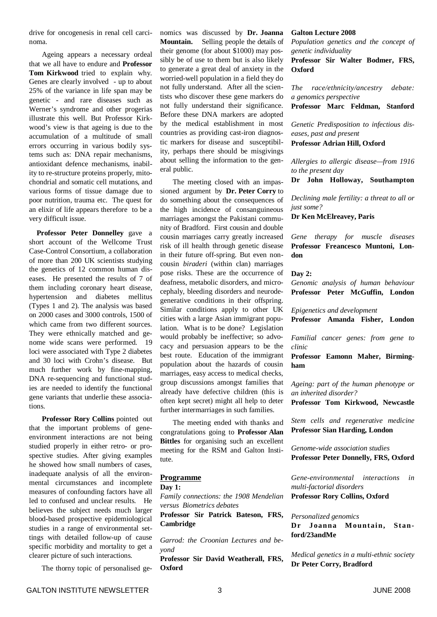drive for oncogenesis in renal cell carcinoma.

Ageing appears a necessary ordeal that we all have to endure and **Professor Tom Kirkwood** tried to explain why. Genes are clearly involved - up to about 25% of the variance in life span may be genetic - and rare diseases such as Werner's syndrome and other progerias illustrate this well. But Professor Kirkwood's view is that ageing is due to the accumulation of a multitude of small errors occurring in various bodily systems such as: DNA repair mechanisms, antioxidant defence mechanisms, inability to re-structure proteins properly, mitochondrial and somatic cell mutations, and various forms of tissue damage due to poor nutrition, trauma etc. The quest for an elixir of life appears therefore to be a very difficult issue.

**Professor Peter Donnelley** gave a short account of the Wellcome Trust Case-Control Consortium, a collaboration of more than 200 UK scientists studying the genetics of 12 common human diseases. He presented the results of 7 of them including coronary heart disease, hypertension and diabetes mellitus (Types 1 and 2). The analysis was based on 2000 cases and 3000 controls, 1500 of which came from two different sources. They were ethnically matched and genome wide scans were performed. 19 loci were associated with Type 2 diabetes and 30 loci with Crohn's disease. But much further work by fine-mapping, DNA re-sequencing and functional studies are needed to identify the functional gene variants that underlie these associations.

**Professor Rory Collins** pointed out that the important problems of geneenvironment interactions are not being studied properly in either retro- or prospective studies. After giving examples he showed how small numbers of cases, inadequate analysis of all the environmental circumstances and incomplete measures of confounding factors have all led to confused and unclear results. He believes the subject needs much larger blood-based prospective epidemiological studies in a range of environmental settings with detailed follow-up of cause specific morbidity and mortality to get a clearer picture of such interactions.

The thorny topic of personalised ge-

nomics was discussed by **Dr. Joanna Mountain.** Selling people the details of their genome (for about \$1000) may possibly be of use to them but is also likely to generate a great deal of anxiety in the worried-well population in a field they do not fully understand. After all the scientists who discover these gene markers do not fully understand their significance. Before these DNA markers are adopted by the medical establishment in most countries as providing cast-iron diagnostic markers for disease and susceptibility, perhaps there should be misgivings about selling the information to the general public.

The meeting closed with an impassioned argument by **Dr. Peter Corry** to do something about the consequences of the high incidence of consanguineous marriages amongst the Pakistani community of Bradford. First cousin and double cousin marriages carry greatly increased risk of ill health through genetic disease in their future off-spring. But even noncousin *biraderi* (within clan) marriages pose risks. These are the occurrence of deafness, metabolic disorders, and microcephaly, bleeding disorders and neurodegenerative conditions in their offspring. Similar conditions apply to other UK cities with a large Asian immigrant population. What is to be done? Legislation would probably be ineffective; so advocacy and persuasion appears to be the best route. Education of the immigrant population about the hazards of cousin marriages, easy access to medical checks, group discussions amongst families that already have defective children (this is often kept secret) might all help to deter further intermarriages in such families.

The meeting ended with thanks and congratulations going to **Professor Alan Bittles** for organising such an excellent meeting for the RSM and Galton Institute.

#### **Programme**

**Day 1:**

*Family connections: the 1908 Mendelian versus Biometrics debates*

**Professor Sir Patrick Bateson, FRS, Cambridge**

*Garrod: the Croonian Lectures and beyond*

**Professor Sir David Weatherall, FRS, Oxford**

#### **Galton Lecture 2008**

*Population genetics and the concept of genetic individuality*

**Professor Sir Walter Bodmer, FRS, Oxford**

*The race/ethnicity/ancestry debate: a genomics perspective*

**Professor Marc Feldman, Stanford**

*Genetic Predisposition to infectious diseases, past and present* **Professor Adrian Hill, Oxford**

*Allergies to allergic disease—from 1916 to the present day*

**Dr John Holloway, Southampton**

*Declining male fertility: a threat to all or just some?*

**Dr Ken McElreavey, Paris**

*Gene therapy for muscle diseases* **Professor Freancesco Muntoni, London**

#### **Day 2:**

*Genomic analysis of human behaviour* **Professor Peter McGuffin, London**

*Epigenetics and development*

**Professor Amanda Fisher, London**

*Familial cancer genes: from gene to clinic*

**Professor Eamonn Maher, Birmingham**

*Ageing: part of the human phenotype or an inherited disorder?*

**Professor Tom Kirkwood, Newcastle**

*Stem cells and regenerative medicine* **Professor Sian Harding, London**

*Genome-wide association studies* **Professor Peter Donnelly, FRS, Oxford**

*Gene-environmental interactions in multi-factorial disorders* **Professor Rory Collins, Oxford**

*Personalized genomics*

**Dr Joanna Mountain, Stanford/23andMe**

*Medical genetics in a multi-ethnic society* **Dr Peter Corry, Bradford**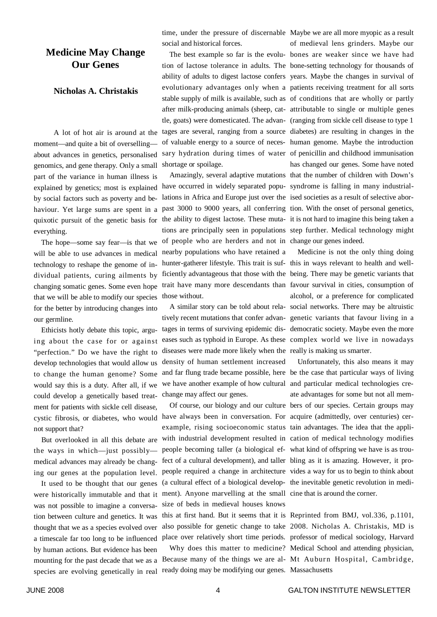### **Medicine May Change Our Genes**

#### **Nicholas A. Christakis**

A lot of hot air is around at the moment—and quite a bit of overselling about advances in genetics, personalised genomics, and gene therapy. Only a small part of the variance in human illness is explained by genetics; most is explained have occurred in widely separated popu-syndrome is falling in many industrialby social factors such as poverty and behaviour. Yet large sums are spent in a quixotic pursuit of the genetic basis for everything.

technology to reshape the genome of individual patients, curing ailments by that we will be able to modify our species for the better by introducing changes into our germline.

Ethicists hotly debate this topic, arguing about the case for or against "perfection." Do we have the right to develop technologies that would allow us to change the human genome? Some would say this is a duty. After all, if we could develop a genetically based treatment for patients with sickle cell disease, not support that?

the ways in which—just possibly medical advances may already be changing our genes at the population level.

was not possible to imagine a conversation between culture and genetics. It was thought that we as a species evolved over by human actions. But evidence has been mounting for the past decade that we as a species are evolving genetically in real ready doing may be modifying our genes. Massachusetts

time, under the pressure of discernable Maybe we are all more myopic as a result social and historical forces.

shortage or spoilage.

The hope—some say fear—is that we of people who are herders and not in change our genes indeed. will be able to use advances in medical nearby populations who have retained a those without.

> diseases were made more likely when the really is making us smarter. density of human settlement increased change may affect our genes.

were historically immutable and that it ment). Anyone marvelling at the small cine that is around the corner. size of beds in medieval houses knows this at first hand. But it seems that it is Reprinted from BMJ, vol.336, p.1101,

The best example so far is the evolu-bones are weaker since we have had tion of lactose tolerance in adults. The bone-setting technology for thousands of ability of adults to digest lactose confers years. Maybe the changes in survival of evolutionary advantages only when a patients receiving treatment for all sorts stable supply of milk is available, such as of conditions that are wholly or partly after milk-producing animals (sheep, cat-attributable to single or multiple genes tle, goats) were domesticated. The advan-(ranging from sickle cell disease to type 1 tages are several, ranging from a source diabetes) are resulting in changes in the of valuable energy to a source of neces-human genome. Maybe the introduction sary hydration during times of water of penicillin and childhood immunisation Amazingly, several adaptive mutations that the number of children with Down's lations in Africa and Europe just over the ised societies as a result of selective aborpast 3000 to 9000 years, all conferring tion. With the onset of personal genetics, the ability to digest lactose. These muta-it is not hard to imagine this being taken a tions are principally seen in populations step further. Medical technology might of medieval lens grinders. Maybe our has changed our genes. Some have noted

changing somatic genes. Some even hope trait have many more descendants than favour survival in cities, consumption of hunter-gatherer lifestyle. This trait is suf- this in ways relevant to health and wellficiently advantageous that those with the being. There may be genetic variants that A similar story can be told about rela-social networks. There may be altruistic tively recent mutations that confer advan-genetic variants that favour living in a tages in terms of surviving epidemic dis-democratic society. Maybe even the more eases such as typhoid in Europe. As these complex world we live in nowadays Medicine is not the only thing doing alcohol, or a preference for complicated

cystic fibrosis, or diabetes, who would have always been in conversation. For acquire (admittedly, over centuries) cer-But overlooked in all this debate are with industrial development resulted in cation of medical technology modifies It used to be thought that our genes (a cultural effect of a biological develop-the inevitable genetic revolution in mediand far flung trade became possible, here be the case that particular ways of living we have another example of how cultural and particular medical technologies cre-Of course, our biology and our culture bers of our species. Certain groups may example, rising socioeconomic status tain advantages. The idea that the applipeople becoming taller (a biological ef-what kind of offspring we have is as troufect of a cultural development), and taller bling as it is amazing. However, it propeople required a change in architecture vides a way for us to begin to think about Unfortunately, this also means it may ate advantages for some but not all mem-

a timescale far too long to be influenced place over relatively short time periods. professor of medical sociology, Harvard also possible for genetic change to take 2008. Nicholas A. Christakis, MD is Why does this matter to medicine? Medical School and attending physician, Because many of the things we are al-Mt Auburn Hospital, Cambridge,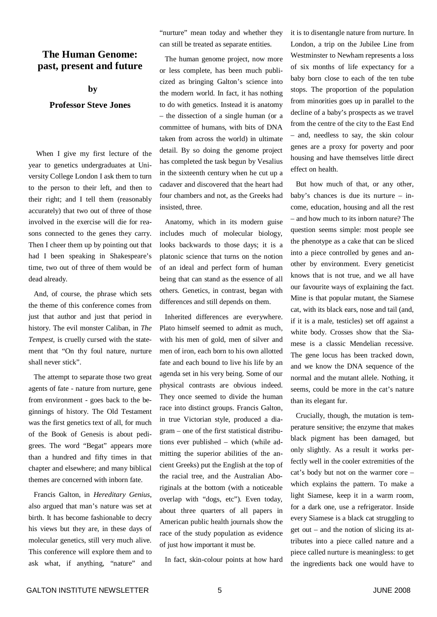### **The Human Genome: past, present and future**

**by**

#### **Professor Steve Jones**

When I give my first lecture of the year to genetics undergraduates at University College London I ask them to turn to the person to their left, and then to their right; and I tell them (reasonably accurately) that two out of three of those involved in the exercise will die for reasons connected to the genes they carry. Then I cheer them up by pointing out that had I been speaking in Shakespeare's time, two out of three of them would be dead already.

And, of course, the phrase which sets the theme of this conference comes from just that author and just that period in history. The evil monster Caliban, in *The Tempest,* is cruelly cursed with the statement that "On thy foul nature, nurture shall never stick".

The attempt to separate those two great agents of fate - nature from nurture, gene from environment - goes back to the beginnings of history. The Old Testament was the first genetics text of all, for much of the Book of Genesis is about pedigrees. The word "Begat" appears more than a hundred and fifty times in that chapter and elsewhere; and many biblical themes are concerned with inborn fate.

Francis Galton, in *Hereditary Genius*, also argued that man's nature was set at birth. It has become fashionable to decry his views but they are, in these days of molecular genetics, still very much alive. This conference will explore them and to ask what, if anything, "nature" and

"nurture" mean today and whether they can still be treated as separate entities.

The human genome project, now more or less complete, has been much publicized as bringing Galton's science into the modern world. In fact, it has nothing to do with genetics. Instead it is anatomy – the dissection of a single human (or a committee of humans, with bits of DNA taken from across the world) in ultimate detail. By so doing the genome project has completed the task begun by Vesalius in the sixteenth century when he cut up a cadaver and discovered that the heart had four chambers and not, as the Greeks had insisted, three.

Anatomy, which in its modern guise includes much of molecular biology, looks backwards to those days; it is a platonic science that turns on the notion of an ideal and perfect form of human being that can stand as the essence of all others. Genetics, in contrast, began with differences and still depends on them.

Inherited differences are everywhere. Plato himself seemed to admit as much, with his men of gold, men of silver and men of iron, each born to his own allotted fate and each bound to live his life by an agenda set in his very being. Some of our physical contrasts are obvious indeed. They once seemed to divide the human race into distinct groups. Francis Galton, in true Victorian style, produced a diagram – one of the first statistical distributions ever published – which (while admitting the superior abilities of the ancient Greeks) put the English at the top of the racial tree, and the Australian Aboriginals at the bottom (with a noticeable overlap with "dogs, etc"). Even today, about three quarters of all papers in American public health journals show the race of the study population as evidence of just how important it must be.

In fact, skin-colour points at how hard

it is to disentangle nature from nurture. In London, a trip on the Jubilee Line from Westminster to Newham represents a loss of six months of life expectancy for a baby born close to each of the ten tube stops. The proportion of the population from minorities goes up in parallel to the decline of a baby's prospects as we travel from the centre of the city to the East End – and, needless to say, the skin colour genes are a proxy for poverty and poor housing and have themselves little direct effect on health.

But how much of that, or any other, baby's chances is due its nurture – income, education, housing and all the rest – and how much to its inborn nature? The question seems simple: most people see the phenotype as a cake that can be sliced into a piece controlled by genes and another by environment. Every geneticist knows that is not true, and we all have our favourite ways of explaining the fact. Mine is that popular mutant, the Siamese cat, with its black ears, nose and tail (and, if it is a male, testicles) set off against a white body. Crosses show that the Siamese is a classic Mendelian recessive. The gene locus has been tracked down, and we know the DNA sequence of the normal and the mutant allele. Nothing, it seems, could be more in the cat's nature than its elegant fur.

Crucially, though, the mutation is temperature sensitive; the enzyme that makes black pigment has been damaged, but only slightly. As a result it works perfectly well in the cooler extremities of the cat's body but not on the warmer core – which explains the pattern. To make a light Siamese, keep it in a warm room, for a dark one, use a refrigerator. Inside every Siamese is a black cat struggling to get out – and the notion of slicing its attributes into a piece called nature and a piece called nurture is meaningless: to get the ingredients back one would have to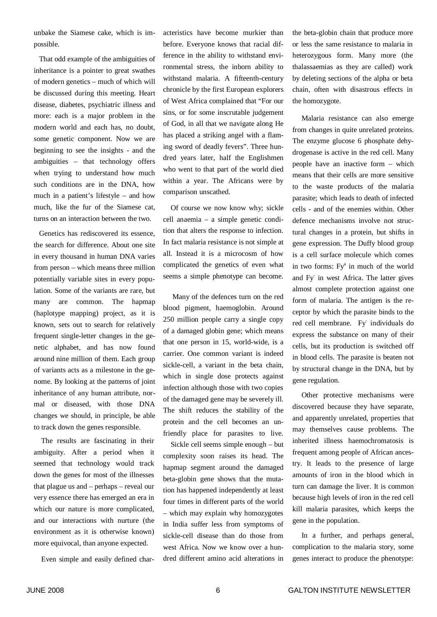unbake the Siamese cake, which is impossible.

That odd example of the ambiguities of inheritance is a pointer to great swathes of modern genetics – much of which will be discussed during this meeting. Heart disease, diabetes, psychiatric illness and more: each is a major problem in the modern world and each has, no doubt, some genetic component. Now we are beginning to see the insights - and the ambiguities – that technology offers when trying to understand how much such conditions are in the DNA, how much in a patient's lifestyle – and how much, like the fur of the Siamese cat, turns on an interaction between the two.

Genetics has rediscovered its essence, the search for difference. About one site in every thousand in human DNA varies from person – which means three million potentially variable sites in every population. Some of the variants are rare, but many are common. The hapmap (haplotype mapping) project, as it is known, sets out to search for relatively frequent single-letter changes in the genetic alphabet, and has now found around nine million of them. Each group of variants acts as a milestone in the genome. By looking at the patterns of joint inheritance of any human attribute, normal or diseased, with those DNA changes we should, in principle, be able to track down the genes responsible.

The results are fascinating in their ambiguity. After a period when it seemed that technology would track down the genes for most of the illnesses that plague us and – perhaps – reveal our very essence there has emerged an era in which our nature is more complicated, and our interactions with nurture (the environment as it is otherwise known) more equivocal, than anyone expected.

Even simple and easily defined char-

acteristics have become murkier than before. Everyone knows that racial difference in the ability to withstand environmental stress, the inborn ability to withstand malaria. A fifteenth-century chronicle by the first European explorers of West Africa complained that "For our sins, or for some inscrutable judgement of God, in all that we navigate along He has placed a striking angel with a flaming sword of deadly fevers". Three hundred years later, half the Englishmen who went to that part of the world died within a year. The Africans were by comparison unscathed.

Of course we now know why; sickle cell anaemia – a simple genetic condition that alters the response to infection. In fact malaria resistance is not simple at all. Instead it is a microcosm of how complicated the genetics of even what seems a simple phenotype can become.

Many of the defences turn on the red blood pigment, haemoglobin. Around 250 million people carry a single copy of a damaged globin gene; which means that one person in 15, world-wide, is a carrier. One common variant is indeed sickle-cell, a variant in the beta chain, which in single dose protects against infection although those with two copies of the damaged gene may be severely ill. The shift reduces the stability of the protein and the cell becomes an unfriendly place for parasites to live.

Sickle cell seems simple enough – but complexity soon raises its head. The hapmap segment around the damaged beta-globin gene shows that the mutation has happened independently at least four times in different parts of the world – which may explain why homozygotes in India suffer less from symptoms of sickle-cell disease than do those from west Africa. Now we know over a hundred different amino acid alterations in

the beta-globin chain that produce more or less the same resistance to malaria in heterozygous form. Many more (the thalassaemias as they are called) work by deleting sections of the alpha or beta chain, often with disastrous effects in the homozygote.

Malaria resistance can also emerge from changes in quite unrelated proteins. The enzyme glucose 6 phosphate dehydrogenase is active in the red cell. Many people have an inactive form – which means that their cells are more sensitive to the waste products of the malaria parasite; which leads to death of infected cells - and of the enemies within. Other defence mechanisms involve not structural changes in a protein, but shifts in gene expression. The Duffy blood group is a cell surface molecule which comes in two forms: Fy<sup>a</sup> in much of the world and Fy in west Africa. The latter gives almost complete protection against one form of malaria. The antigen is the receptor by which the parasite binds to the red cell membrane. Fy individuals do express the substance on many of their cells, but its production is switched off in blood cells. The parasite is beaten not by structural change in the DNA, but by gene regulation.

Other protective mechanisms were discovered because they have separate, and apparently unrelated, properties that may themselves cause problems. The inherited illness haemochromatosis is frequent among people of African ancestry. It leads to the presence of large amounts of iron in the blood which in turn can damage the liver. It is common because high levels of iron in the red cell kill malaria parasites, which keeps the gene in the population.

In a further, and perhaps general, complication to the malaria story, some genes interact to produce the phenotype: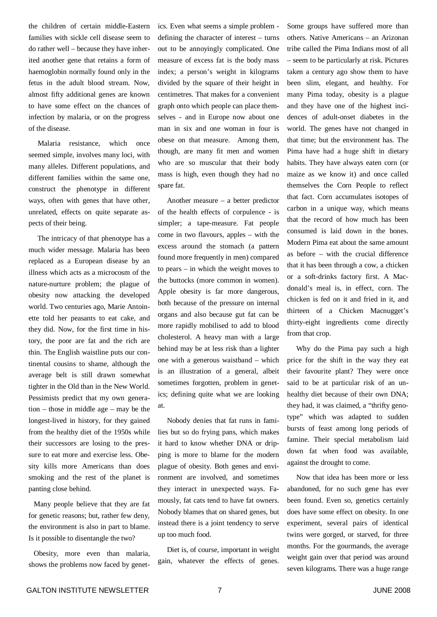the children of certain middle-Eastern families with sickle cell disease seem to do rather well – because they have inherited another gene that retains a form of haemoglobin normally found only in the fetus in the adult blood stream. Now, almost fifty additional genes are known to have some effect on the chances of infection by malaria, or on the progress of the disease.

Malaria resistance, which once seemed simple, involves many loci, with many alleles. Different populations, and different families within the same one, construct the phenotype in different ways, often with genes that have other, unrelated, effects on quite separate aspects of their being.

The intricacy of that phenotype has a much wider message. Malaria has been replaced as a European disease by an illness which acts as a microcosm of the nature-nurture problem; the plague of obesity now attacking the developed world. Two centuries ago, Marie Antoinette told her peasants to eat cake, and they did. Now, for the first time in history, the poor are fat and the rich are thin. The English waistline puts our continental cousins to shame, although the average belt is still drawn somewhat tighter in the Old than in the New World. Pessimists predict that my own generation – those in middle age – may be the longest-lived in history, for they gained from the healthy diet of the 1950s while their successors are losing to the pressure to eat more and exercise less. Obesity kills more Americans than does smoking and the rest of the planet is panting close behind.

Many people believe that they are fat for genetic reasons; but, rather few deny, the environment is also in part to blame. Is it possible to disentangle the two?

Obesity, more even than malaria, shows the problems now faced by genet-

ics. Even what seems a simple problem defining the character of interest – turns out to be annoyingly complicated. One measure of excess fat is the body mass index; a person's weight in kilograms divided by the square of their height in centimetres. That makes for a convenient graph onto which people can place themselves - and in Europe now about one man in six and one woman in four is obese on that measure. Among them, though, are many fit men and women who are so muscular that their body mass is high, even though they had no spare fat.

Another measure – a better predictor of the health effects of corpulence - is simpler; a tape-measure. Fat people come in two flavours, apples – with the excess around the stomach (a pattern found more frequently in men) compared to pears – in which the weight moves to the buttocks (more common in women). Apple obesity is far more dangerous, both because of the pressure on internal organs and also because gut fat can be more rapidly mobilised to add to blood cholesterol. A heavy man with a large behind may be at less risk than a lighter one with a generous waistband – which is an illustration of a general, albeit sometimes forgotten, problem in genetics; defining quite what we are looking at.

Nobody denies that fat runs in families but so do frying pans, which makes it hard to know whether DNA or dripping is more to blame for the modern plague of obesity. Both genes and environment are involved, and sometimes they interact in unexpected ways. Famously, fat cats tend to have fat owners. Nobody blames that on shared genes, but instead there is a joint tendency to serve up too much food.

Diet is, of course, important in weight gain, whatever the effects of genes. Some groups have suffered more than others. Native Americans – an Arizonan tribe called the Pima Indians most of all – seem to be particularly at risk. Pictures taken a century ago show them to have been slim, elegant, and healthy. For many Pima today, obesity is a plague and they have one of the highest incidences of adult-onset diabetes in the world. The genes have not changed in that time; but the environment has. The Pima have had a huge shift in dietary habits. They have always eaten corn (or maize as we know it) and once called themselves the Corn People to reflect that fact. Corn accumulates isotopes of carbon in a unique way, which means that the record of how much has been consumed is laid down in the bones. Modern Pima eat about the same amount as before – with the crucial difference that it has been through a cow, a chicken or a soft-drinks factory first. A Macdonald's meal is, in effect, corn. The chicken is fed on it and fried in it, and thirteen of a Chicken Macnugget's thirty-eight ingredients come directly from that crop.

Why do the Pima pay such a high price for the shift in the way they eat their favourite plant? They were once said to be at particular risk of an unhealthy diet because of their own DNA; they had, it was claimed, a "thrifty genotype" which was adapted to sudden bursts of feast among long periods of famine. Their special metabolism laid down fat when food was available, against the drought to come.

Now that idea has been more or less abandoned, for no such gene has ever been found. Even so, genetics certainly does have some effect on obesity. In one experiment, several pairs of identical twins were gorged, or starved, for three months. For the gourmands, the average weight gain over that period was around seven kilograms. There was a huge range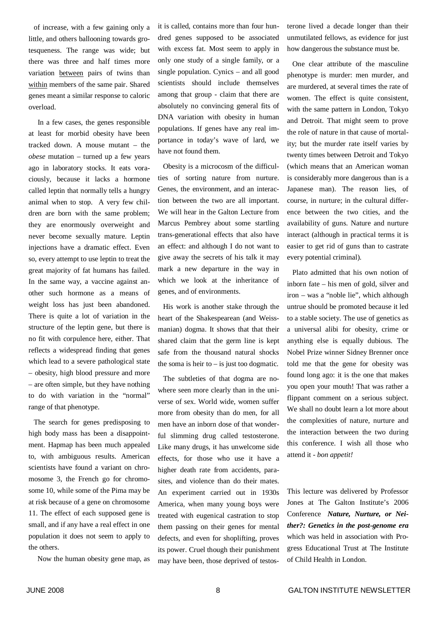of increase, with a few gaining only a little, and others ballooning towards grotesqueness. The range was wide; but there was three and half times more variation between pairs of twins than within members of the same pair. Shared genes meant a similar response to caloric overload.

In a few cases, the genes responsible at least for morbid obesity have been tracked down. A mouse mutant – the *obese* mutation – turned up a few years ago in laboratory stocks. It eats voraciously, because it lacks a hormone called leptin that normally tells a hungry animal when to stop. A very few children are born with the same problem; they are enormously overweight and never become sexually mature. Leptin injections have a dramatic effect. Even so, every attempt to use leptin to treat the great majority of fat humans has failed. In the same way, a vaccine against another such hormone as a means of weight loss has just been abandoned. There is quite a lot of variation in the structure of the leptin gene, but there is no fit with corpulence here, either. That reflects a widespread finding that genes which lead to a severe pathological state – obesity, high blood pressure and more – are often simple, but they have nothing to do with variation in the "normal" range of that phenotype.

The search for genes predisposing to high body mass has been a disappointment. Hapmap has been much appealed to, with ambiguous results. American scientists have found a variant on chromosome 3, the French go for chromosome 10, while some of the Pima may be at risk because of a gene on chromosome 11. The effect of each supposed gene is small, and if any have a real effect in one population it does not seem to apply to the others.

Now the human obesity gene map, as

it is called, contains more than four hundred genes supposed to be associated with excess fat. Most seem to apply in only one study of a single family, or a single population. Cynics – and all good scientists should include themselves among that group - claim that there are absolutely no convincing general fits of DNA variation with obesity in human populations. If genes have any real importance in today's wave of lard, we have not found them.

Obesity is a microcosm of the difficulties of sorting nature from nurture. Genes, the environment, and an interaction between the two are all important. We will hear in the Galton Lecture from Marcus Pembrey about some startling trans-generational effects that also have an effect: and although I do not want to give away the secrets of his talk it may mark a new departure in the way in which we look at the inheritance of genes, and of environments.

His work is another stake through the heart of the Shakespearean (and Weissmanian) dogma. It shows that that their shared claim that the germ line is kept safe from the thousand natural shocks the soma is heir to  $-$  is just too dogmatic.

The subtleties of that dogma are nowhere seen more clearly than in the universe of sex. World wide, women suffer more from obesity than do men, for all men have an inborn dose of that wonderful slimming drug called testosterone. Like many drugs, it has unwelcome side effects, for those who use it have a higher death rate from accidents, parasites, and violence than do their mates. An experiment carried out in 1930s America, when many young boys were treated with eugenical castration to stop them passing on their genes for mental defects, and even for shoplifting, proves its power. Cruel though their punishment may have been, those deprived of testosterone lived a decade longer than their unmutilated fellows, as evidence for just how dangerous the substance must be.

One clear attribute of the masculine phenotype is murder: men murder, and are murdered, at several times the rate of women. The effect is quite consistent, with the same pattern in London, Tokyo and Detroit. That might seem to prove the role of nature in that cause of mortality; but the murder rate itself varies by twenty times between Detroit and Tokyo (which means that an American woman is considerably more dangerous than is a Japanese man). The reason lies, of course, in nurture; in the cultural difference between the two cities, and the availability of guns. Nature and nurture interact (although in practical terms it is easier to get rid of guns than to castrate every potential criminal).

Plato admitted that his own notion of inborn fate – his men of gold, silver and iron – was a "noble lie", which although untrue should be promoted because it led to a stable society. The use of genetics as a universal alibi for obesity, crime or anything else is equally dubious. The Nobel Prize winner Sidney Brenner once told me that the gene for obesity was found long ago: it is the one that makes you open your mouth! That was rather a flippant comment on a serious subject. We shall no doubt learn a lot more about the complexities of nature, nurture and the interaction between the two during this conference. I wish all those who attend it - *bon appetit!*

This lecture was delivered by Professor Jones at The Galton Institute's 2006 Conference *Nature, Nurture, or Neither?: Genetics in the post-genome era* which was held in association with Progress Educational Trust at The Institute of Child Health in London.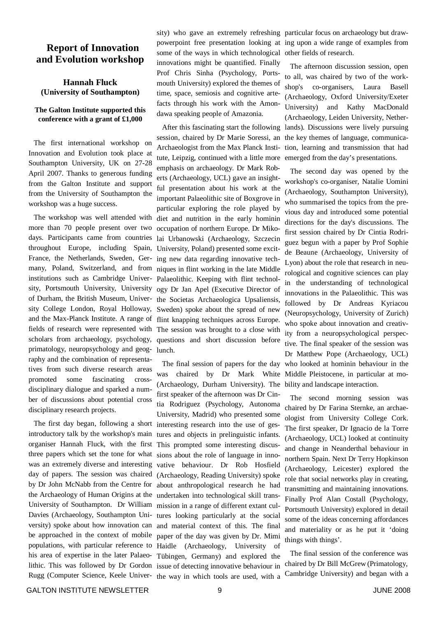## **Report of Innovation and Evolution workshop**

#### **Hannah Fluck (University of Southampton)**

#### **The Galton Institute supported this conference with a grant of £1,000**

The first international workshop on Innovation and Evolution took place at Southampton University, UK on 27-28 April 2007. Thanks to generous funding from the Galton Institute and support from the University of Southampton the workshop was a huge success.

The workshop was well attended with more than 70 people present over two days. Participants came from countries throughout Europe, including Spain, France, the Netherlands, Sweden, Germany, Poland, Switzerland, and from institutions such as Cambridge University, Portsmouth University, University of Durham, the British Museum, University College London, Royal Holloway, and the Max-Planck Institute. A range of fields of research were represented with scholars from archaeology, psychology, primatology, neuropsychology and geography and the combination of representatives from such diverse research areas promoted some fascinating crossdisciplinary dialogue and sparked a number of discussions about potential cross disciplinary research projects.

The first day began, following a short introductory talk by the workshop's main organiser Hannah Fluck, with the first three papers which set the tone for what was an extremely diverse and interesting day of papers. The session was chaired by Dr John McNabb from the Centre for the Archaeology of Human Origins at the University of Southampton. Dr William Davies (Archaeology, Southampton University) spoke about how innovation can be approached in the context of mobile populations, with particular reference to his area of expertise in the later Palaeolithic. This was followed by Dr Gordon Rugg (Computer Science, Keele Univer-

sity) who gave an extremely refreshing particular focus on archaeology but drawpowerpoint free presentation looking at ing upon a wide range of examples from some of the ways in which technological other fields of research. innovations might be quantified. Finally Prof Chris Sinha (Psychology, Portsmouth University) explored the themes of time, space, semiosis and cognitive artefacts through his work with the Amondawa speaking people of Amazonia.

After this fascinating start the following session, chaired by Dr Marie Soressi, an Archaeologist from the Max Planck Institute, Leipzig, continued with a little more emphasis on archaeology. Dr Mark Roberts (Archaeology, UCL) gave an insightful presentation about his work at the important Palaeolithic site of Boxgrove in particular exploring the role played by diet and nutrition in the early hominin occupation of northern Europe. Dr Mikolai Urbanowski (Archaeology, Szczecin University, Poland) presented some exciting new data regarding innovative techniques in flint working in the late Middle Palaeolithic. Keeping with flint technology Dr Jan Apel (Executive Director of the Societas Archaeologica Upsaliensis, Sweden) spoke about the spread of new flint knapping techniques across Europe. The session was brought to a close with questions and short discussion before lunch.

The final session of papers for the day was chaired by Dr Mark White (Archaeology, Durham University). The first speaker of the afternoon was Dr Cintia Rodriguez (Psychology, Autonoma University, Madrid) who presented some interesting research into the use of gestures and objects in prelinguistic infants. This prompted some interesting discussions about the role of language in innovative behaviour. Dr Rob Hosfield (Archaeology, Reading University) spoke about anthropological research he had undertaken into technological skill transmission in a range of different extant cultures looking particularly at the social and material context of this. The final paper of the day was given by Dr. Mimi Haidle (Archaeology, University of Tübingen, Germany) and explored the issue of detecting innovative behaviour in the way in which tools are used, with a

The afternoon discussion session, open to all, was chaired by two of the workshop's co-organisers, Laura Basell (Archaeology, Oxford University/Exeter University) and Kathy MacDonald (Archaeology, Leiden University, Netherlands). Discussions were lively pursuing the key themes of language, communication, learning and transmission that had emerged from the day's presentations.

The second day was opened by the workshop's co-organiser, Natalie Uomini (Archaeology, Southampton University), who summarised the topics from the previous day and introduced some potential directions for the day's discussions. The first session chaired by Dr Cintia Rodriguez begun with a paper by Prof Sophie de Beaune (Archaeology, University of Lyon) about the role that research in neurological and cognitive sciences can play in the understanding of technological innovations in the Palaeolithic. This was followed by Dr Andreas Kyriacou (Neuropsychology, University of Zurich) who spoke about innovation and creativity from a neuropsychological perspective. The final speaker of the session was Dr Matthew Pope (Archaeology, UCL) who looked at hominin behaviour in the Middle Pleistocene, in particular at mobility and landscape interaction.

The second morning session was chaired by Dr Farina Sternke, an archaeologist from University College Cork. The first speaker, Dr Ignacio de la Torre (Archaeology, UCL) looked at continuity and change in Neanderthal behaviour in northern Spain. Next Dr Terry Hopkinson (Archaeology, Leicester) explored the role that social networks play in creating, transmitting and maintaining innovations. Finally Prof Alan Costall (Psychology, Portsmouth University) explored in detail some of the ideas concerning affordances and materiality or as he put it 'doing things with things'.

The final session of the conference was chaired by Dr Bill McGrew (Primatology, Cambridge University) and began with a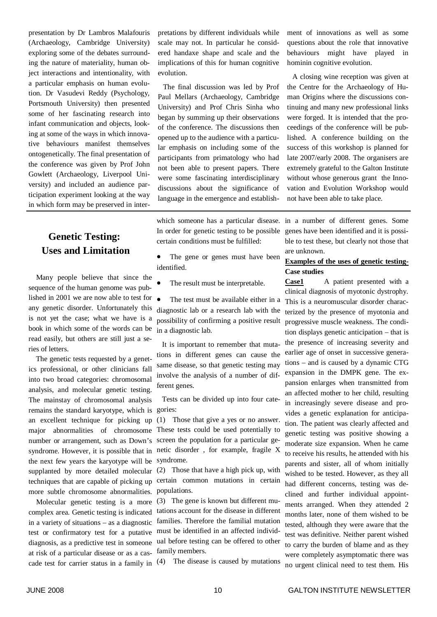presentation by Dr Lambros Malafouris (Archaeology, Cambridge University) exploring some of the debates surrounding the nature of materiality, human object interactions and intentionality, with a particular emphasis on human evolution. Dr Vasudevi Reddy (Psychology, Portsmouth University) then presented some of her fascinating research into infant communication and objects, looking at some of the ways in which innovative behaviours manifest themselves ontogenetically. The final presentation of the conference was given by Prof John Gowlett (Archaeology, Liverpool University) and included an audience participation experiment looking at the way in which form may be preserved in inter-

## **Genetic Testing: Uses and Limitation**

Many people believe that since the sequence of the human genome was published in 2001 we are now able to test for  $\bullet$ any genetic disorder. Unfortunately this is not yet the case; what we have is a book in which some of the words can be read easily, but others are still just a series of letters.

The genetic tests requested by a genetics professional, or other clinicians fall into two broad categories: chromosomal analysis, and molecular genetic testing. The mainstay of chromosomal analysis remains the standard karyotype, which is gories: an excellent technique for picking up major abnormalities of chromosome number or arrangement, such as Down's syndrome. However, it is possible that in the next few years the karyotype will be supplanted by more detailed molecular techniques that are capable of picking up more subtle chromosome abnormalities.

Molecular genetic testing is a more complex area. Genetic testing is indicated in a variety of situations – as a diagnostic test or confirmatory test for a putative diagnosis, as a predictive test in someone at risk of a particular disease or as a cascade test for carrier status in a family in pretations by different individuals while scale may not. In particular he considered handaxe shape and scale and the implications of this for human cognitive evolution.

The final discussion was led by Prof Paul Mellars (Archaeology, Cambridge University) and Prof Chris Sinha who began by summing up their observations of the conference. The discussions then opened up to the audience with a particular emphasis on including some of the participants from primatology who had not been able to present papers. There were some fascinating interdisciplinary discussions about the significance of language in the emergence and establish-

which someone has a particular disease. In order for genetic testing to be possible certain conditions must be fulfilled:

- The gene or genes must have been identified.
- The result must be interpretable.
- The test must be available either in a diagnostic lab or a research lab with the possibility of confirming a positive result in a diagnostic lab.

It is important to remember that mutations in different genes can cause the same disease, so that genetic testing may involve the analysis of a number of different genes.

Tests can be divided up into four cate-

(1) Those that give a yes or no answer. These tests could be used potentially to screen the population for a particular genetic disorder , for example, fragile X syndrome.

(2) Those that have a high pick up, with certain common mutations in certain populations.

(3) The gene is known but different mutations account for the disease in different families. Therefore the familial mutation must be identified in an affected individual before testing can be offered to other family members.

(4) The disease is caused by mutations

ment of innovations as well as some questions about the role that innovative behaviours might have played in hominin cognitive evolution.

A closing wine reception was given at the Centre for the Archaeology of Human Origins where the discussions continuing and many new professional links were forged. It is intended that the proceedings of the conference will be published. A conference building on the success of this workshop is planned for late 2007/early 2008. The organisers are extremely grateful to the Galton Institute without whose generous grant the Innovation and Evolution Workshop would not have been able to take place.

in a number of different genes. Some genes have been identified and it is possible to test these, but clearly not those that are unknown.

#### **Examples of the uses of genetic testing-Case studies**

**Case1** A patient presented with a clinical diagnosis of myotonic dystrophy. This is a neuromuscular disorder characterized by the presence of myotonia and progressive muscle weakness. The condition displays genetic anticipation – that is the presence of increasing severity and earlier age of onset in successive generations – and is caused by a dynamic CTG expansion in the DMPK gene. The expansion enlarges when transmitted from an affected mother to her child, resulting in increasingly severe disease and provides a genetic explanation for anticipation. The patient was clearly affected and genetic testing was positive showing a moderate size expansion. When he came to receive his results, he attended with his parents and sister, all of whom initially wished to be tested. However, as they all had different concerns, testing was declined and further individual appointments arranged. When they attended 2 months later, none of them wished to be tested, although they were aware that the test was definitive. Neither parent wished to carry the burden of blame and as they were completely asymptomatic there was no urgent clinical need to test them. His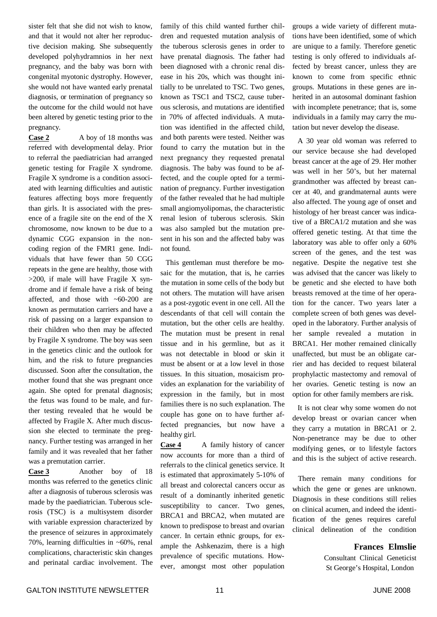sister felt that she did not wish to know, and that it would not alter her reproductive decision making. She subsequently developed polyhydramnios in her next pregnancy, and the baby was born with congenital myotonic dystrophy. However, she would not have wanted early prenatal diagnosis, or termination of pregnancy so the outcome for the child would not have been altered by genetic testing prior to the pregnancy.

**Case 2** A boy of 18 months was referred with developmental delay. Prior to referral the paediatrician had arranged genetic testing for Fragile X syndrome. Fragile X syndrome is a condition associated with learning difficulties and autistic features affecting boys more frequently than girls. It is associated with the presence of a fragile site on the end of the X chromosome, now known to be due to a dynamic CGG expansion in the noncoding region of the FMR1 gene. Individuals that have fewer than 50 CGG repeats in the gene are healthy, those with  $>200$ , if male will have Fragile X syndrome and if female have a risk of being affected, and those with ~60-200 are known as permutation carriers and have a risk of passing on a larger expansion to their children who then may be affected by Fragile X syndrome. The boy was seen in the genetics clinic and the outlook for him, and the risk to future pregnancies discussed. Soon after the consultation, the mother found that she was pregnant once again. She opted for prenatal diagnosis; the fetus was found to be male, and further testing revealed that he would be affected by Fragile X. After much discussion she elected to terminate the pregnancy. Further testing was arranged in her family and it was revealed that her father was a premutation carrier.

**Case 3** Another boy of 18 months was referred to the genetics clinic after a diagnosis of tuberous sclerosis was made by the paediatrician. Tuberous sclerosis (TSC) is a multisystem disorder with variable expression characterized by the presence of seizures in approximately 70%, learning difficulties in ~60%, renal complications, characteristic skin changes and perinatal cardiac involvement. The

family of this child wanted further children and requested mutation analysis of the tuberous sclerosis genes in order to have prenatal diagnosis. The father had been diagnosed with a chronic renal disease in his 20s, which was thought initially to be unrelated to TSC. Two genes, known as TSC1 and TSC2, cause tuberous sclerosis, and mutations are identified in 70% of affected individuals. A mutation was identified in the affected child, and both parents were tested. Neither was found to carry the mutation but in the next pregnancy they requested prenatal diagnosis. The baby was found to be affected, and the couple opted for a termination of pregnancy. Further investigation of the father revealed that he had multiple small angiomyolipomas, the characteristic renal lesion of tuberous sclerosis. Skin was also sampled but the mutation present in his son and the affected baby was not found.

This gentleman must therefore be mosaic for the mutation, that is, he carries the mutation in some cells of the body but not others. The mutation will have arisen as a post-zygotic event in one cell. All the descendants of that cell will contain the mutation, but the other cells are healthy. The mutation must be present in renal tissue and in his germline, but as it was not detectable in blood or skin it must be absent or at a low level in those tissues. In this situation, mosaicism provides an explanation for the variability of expression in the family, but in most families there is no such explanation. The couple has gone on to have further affected pregnancies, but now have a healthy girl.

**Case 4** A family history of cancer now accounts for more than a third of referrals to the clinical genetics service. It is estimated that approximately 5-10% of all breast and colorectal cancers occur as result of a dominantly inherited genetic susceptibility to cancer. Two genes, BRCA1 and BRCA2, when mutated are known to predispose to breast and ovarian cancer. In certain ethnic groups, for example the Ashkenazim, there is a high prevalence of specific mutations. However, amongst most other population

groups a wide variety of different mutations have been identified, some of which are unique to a family. Therefore genetic testing is only offered to individuals affected by breast cancer, unless they are known to come from specific ethnic groups. Mutations in these genes are inherited in an autosomal dominant fashion with incomplete penetrance; that is, some individuals in a family may carry the mutation but never develop the disease.

A 30 year old woman was referred to our service because she had developed breast cancer at the age of 29. Her mother was well in her 50's, but her maternal grandmother was affected by breast cancer at 40, and grandmaternal aunts were also affected. The young age of onset and histology of her breast cancer was indicative of a BRCA1/2 mutation and she was offered genetic testing. At that time the laboratory was able to offer only a 60% screen of the genes, and the test was negative. Despite the negative test she was advised that the cancer was likely to be genetic and she elected to have both breasts removed at the time of her operation for the cancer. Two years later a complete screen of both genes was developed in the laboratory. Further analysis of her sample revealed a mutation in BRCA1. Her mother remained clinically unaffected, but must be an obligate carrier and has decided to request bilateral prophylactic mastectomy and removal of her ovaries. Genetic testing is now an option for other family members are risk.

It is not clear why some women do not develop breast or ovarian cancer when they carry a mutation in BRCA1 or 2. Non-penetrance may be due to other modifying genes, or to lifestyle factors and this is the subject of active research.

There remain many conditions for which the gene or genes are unknown. Diagnosis in these conditions still relies on clinical acumen, and indeed the identification of the genes requires careful clinical delineation of the condition

#### **Frances Elmslie**

Consultant Clinical Geneticist St George's Hospital, London